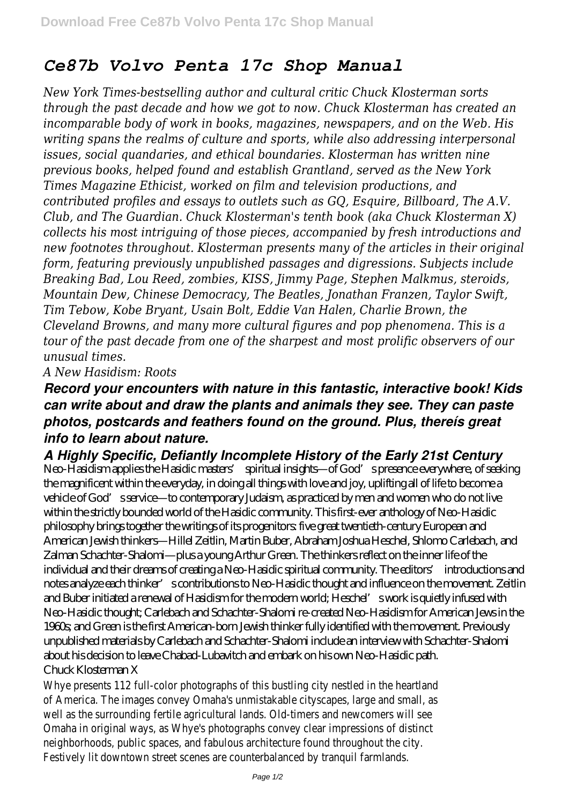## *Ce87b Volvo Penta 17c Shop Manual*

*New York Times-bestselling author and cultural critic Chuck Klosterman sorts through the past decade and how we got to now. Chuck Klosterman has created an incomparable body of work in books, magazines, newspapers, and on the Web. His writing spans the realms of culture and sports, while also addressing interpersonal issues, social quandaries, and ethical boundaries. Klosterman has written nine previous books, helped found and establish Grantland, served as the New York Times Magazine Ethicist, worked on film and television productions, and contributed profiles and essays to outlets such as GQ, Esquire, Billboard, The A.V. Club, and The Guardian. Chuck Klosterman's tenth book (aka Chuck Klosterman X) collects his most intriguing of those pieces, accompanied by fresh introductions and new footnotes throughout. Klosterman presents many of the articles in their original form, featuring previously unpublished passages and digressions. Subjects include Breaking Bad, Lou Reed, zombies, KISS, Jimmy Page, Stephen Malkmus, steroids, Mountain Dew, Chinese Democracy, The Beatles, Jonathan Franzen, Taylor Swift, Tim Tebow, Kobe Bryant, Usain Bolt, Eddie Van Halen, Charlie Brown, the Cleveland Browns, and many more cultural figures and pop phenomena. This is a tour of the past decade from one of the sharpest and most prolific observers of our unusual times.*

## *A New Hasidism: Roots*

## *Record your encounters with nature in this fantastic, interactive book! Kids can write about and draw the plants and animals they see. They can paste photos, postcards and feathers found on the ground. Plus, thereís great info to learn about nature.*

## *A Highly Specific, Defiantly Incomplete History of the Early 21st Century*

Neo-Hasidism applies the Hasidic masters' spiritual insights—of God's presence everywhere, of seeking the magnificent within the everyday, in doing all things with love and joy, uplifting all of life to become a vehicle of God's service—to contemporary Judaism, as practiced by men and women who do not live within the strictly bounded world of the Hasidic community. This first-ever anthology of Neo-Hasidic philosophy brings together the writings of its progenitors: five great twentieth-century European and American Jewish thinkers—Hillel Zeitlin, Martin Buber, Abraham Joshua Heschel, Shlomo Carlebach, and Zalman Schachter-Shalomi—plus a young Arthur Green. The thinkers reflect on the inner life of the individual and their dreams of creating a Neo-Hasidic spiritual community. The editors' introductions and notes analyze each thinker's contributions to Neo-Hasidic thought and influence on the movement. Zeitlin and Buber initiated a renewal of Hasidism for the modern world; Heschel' swork is quietly infused with Neo-Hasidic thought; Carlebach and Schachter-Shalomi re-created Neo-Hasidism for American Jews in the 1960s; and Green is the first American-born Jewish thinker fully identified with the movement. Previously unpublished materials by Carlebach and Schachter-Shalomi include an interview with Schachter-Shalomi about his decision to leave Chabad-Lubavitch and embark on his own Neo-Hasidic path. Chuck Klosterman X

Whye presents 112 full-color photographs of this bustling city nestled in the heartla of America. The images convey Omaha's unmistakable cityscapes, large and small, as well as the surrounding fertile agricultural lands. Old-timers and newcomers will see Omaha in original ways, as Whye's photographs convey clear impressions of distinct neighborhoods, public spaces, and fabulous architecture found throughout the city. Festively lit downtown street scenes are counterbalanced by tranquil farmlands.